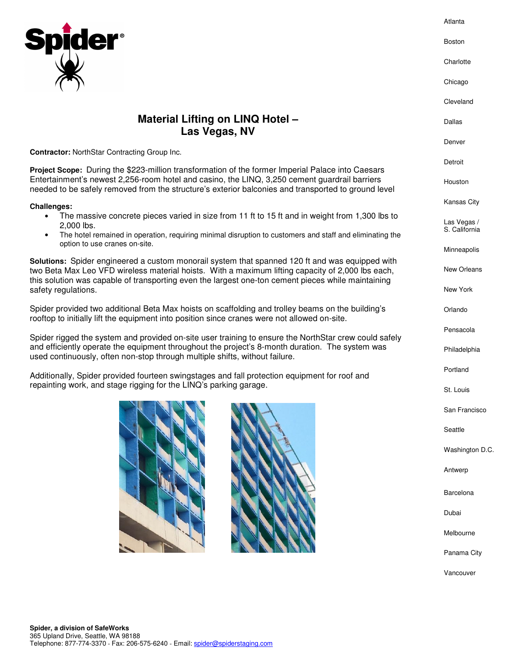

## **Material Lifting on LINQ Hotel – Las Vegas, NV**

**Contractor:** NorthStar Contracting Group Inc.

**Project Scope:** During the \$223-million transformation of the former Imperial Palace into Caesars Entertainment's newest 2,256-room hotel and casino, the LINQ, 3,250 cement guardrail barriers needed to be safely removed from the structure's exterior balconies and transported to ground level

## **Challenges:**

- The massive concrete pieces varied in size from 11 ft to 15 ft and in weight from 1,300 lbs to 2,000 lbs.
- The hotel remained in operation, requiring minimal disruption to customers and staff and eliminating the option to use cranes on-site.

**Solutions:** Spider engineered a custom monorail system that spanned 120 ft and was equipped with two Beta Max Leo VFD wireless material hoists. With a maximum lifting capacity of 2,000 lbs each, this solution was capable of transporting even the largest one-ton cement pieces while maintaining safety regulations.

Spider provided two additional Beta Max hoists on scaffolding and trolley beams on the building's rooftop to initially lift the equipment into position since cranes were not allowed on-site.

Spider rigged the system and provided on-site user training to ensure the NorthStar crew could safely and efficiently operate the equipment throughout the project's 8-month duration. The system was used continuously, often non-stop through multiple shifts, without failure.

Additionally, Spider provided fourteen swingstages and fall protection equipment for roof and repainting work, and stage rigging for the LINQ's parking garage.



Dallas

Atlanta

Boston

**Charlotte** 

Chicago

Cleveland

Denver

Detroit

Houston

Kansas City

Las Vegas / S. California

Minneapolis

New Orleans

New York

Orlando

Pensacola

Philadelphia

Portland

St. Louis

San Francisco

Seattle

Washington D.C.

Antwerp

Barcelona

Dubai

Melbourne

Panama City

Vancouver